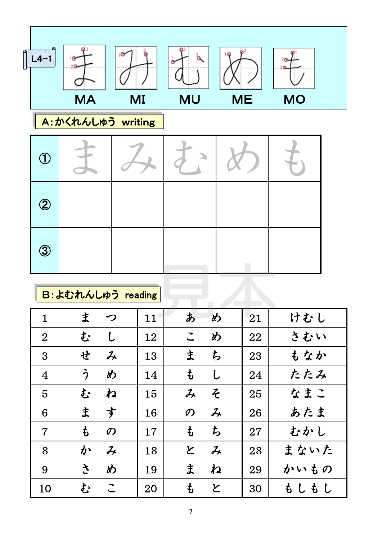

B:よむれんしゅう reading

| $\mathbf 1$    | ま<br>つ             | 11 | あ<br>め                                   | 21 | けむし                     |
|----------------|--------------------|----|------------------------------------------|----|-------------------------|
| $\overline{2}$ | む<br>U             | 12 | め<br>$\tilde{\phantom{a}}$               | 22 | さむい                     |
| 3              | せ<br>$\cancel{1}$  | 13 | ま<br>ち                                   | 23 | もなか                     |
| $\overline{4}$ | う<br>め             | 14 | $\mathfrak{p}$<br>し                      | 24 | たたみ                     |
| 5              | ね<br>む             | 15 | そ<br>$\lambda$                           | 25 | なまこ                     |
| 6              | ま<br>す             | 16 | $\mathcal{Z}_{\!\star}$<br>$\mathcal{O}$ | 26 | あたま                     |
| $\overline{7}$ | も<br>$\mathcal{O}$ | 17 | も<br>ち                                   | 27 | むかし                     |
| 8              | か<br>$\lambda$     | 18 | と<br>$\mathcal{Z}_{\!\star}$             | 28 | まないた                    |
| 9              | $\tilde{z}$<br>め   | 19 | ま<br>ね                                   | 29 | かいもの                    |
| 10             | む<br>こ             | 20 | も<br>と                                   | 30 | $\mathbf{f}$<br>もし<br>L |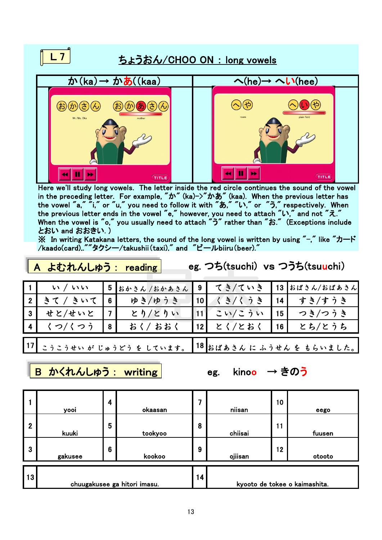## $L$  7 ちょうおん/CHOO ON : long vowels  $\phi'(ka) \rightarrow \phi(b)(kaa)$  (he)→ へい(hee)  $\bigodot$ (f)  $E(b)$  $\overline{5})$ Mr /Ms Oka Ш  $\mathbf{H}$  $\blacktriangleleft$  $\blacktriangleright$  $\blacktriangleleft$ bb. **TITLE** TITLE

Here we'll study long vowels. The letter inside the red circle continues the sound of the vowel in the preceding letter. For example, " $\phi$ " (ka)->" $\phi$ " (kaa). When the previous letter has the vowel "a," "i," or "u," you need to follow it with "あ," "い," or "う," respectively. When the previous letter ends in the vowel "e," however, you need to attach "い," and not "え." When the vowel is "o," you usually need to attach "う" rather than "お." (Exceptions include とおい and おおきい. )

※ In writing Katakana letters, the sound of the long vowel is written by using "-," like "カード /kaado(card),.""タクシー/takushii(taxi)," and "ビールbiiru(beer)."

|                   | $\mathbb{R}$ $\mathbb{R}$ or $\mathbb{C}$ or $\mathbb{C}$ $\mathbb{C}$ $\mathbb{C}$ $\mathbb{C}$ $\mathbb{C}$ $\mathbb{C}$ $\mathbb{C}$ $\mathbb{C}$ $\mathbb{C}$ $\mathbb{C}$ $\mathbb{C}$ $\mathbb{C}$ $\mathbb{C}$ $\mathbb{C}$ $\mathbb{C}$ $\mathbb{C}$ $\mathbb{C}$ $\mathbb{C}$ $\mathbb{C}$ $\mathbb{C}$ $\mathbb{C}$ |   |                 |                 |            |                 |               |  |  |  |
|-------------------|-------------------------------------------------------------------------------------------------------------------------------------------------------------------------------------------------------------------------------------------------------------------------------------------------------------------------------|---|-----------------|-----------------|------------|-----------------|---------------|--|--|--|
| $\vert$ 1 $\vert$ | $\sim$ $\sqrt{2}$ $\sqrt{2}$                                                                                                                                                                                                                                                                                                  |   | 5 おかさん /おかあさん 9 |                 | てき/ていき     |                 | 13 おばさん/おばあさん |  |  |  |
| l 2 <sup> </sup>  | きて/きいて                                                                                                                                                                                                                                                                                                                        | 6 | ゆき/ゆうき          | 10 <sup>1</sup> | くき/くうき     | 14 <sup>1</sup> | すき/すうき        |  |  |  |
| l 3 l             | せと/せいと                                                                                                                                                                                                                                                                                                                        |   | とり/とりい          |                 | 11  こい/こうい | 15 <sup>1</sup> | つき/つうき        |  |  |  |
|                   | 4  くつ/くつう                                                                                                                                                                                                                                                                                                                     | 8 | おく/ おおく         |                 | 12  とく/とおく | 16 <sup>1</sup> | とち/とうち        |  |  |  |
| 17                | 18 おばあさん に ふうせん を もらいました。<br>こうこうせい が じゅうどう を しています。                                                                                                                                                                                                                                                                          |   |                 |                 |            |                 |               |  |  |  |

<mark>|B かくれんしゅう: writing|</mark> eg. kinoo → きのう

A よむれんしゅう : reading

eg. つち(tsuchi) vs つうち(tsuuchi)

|                | yooi                         | 4               | okaasan | 7 | niisan  | 10 | eego                          |
|----------------|------------------------------|-----------------|---------|---|---------|----|-------------------------------|
| $\overline{2}$ | kuuki                        | 5               | tookyoo | 8 | chiisai | 11 | fuusen                        |
| 3              | gakusee                      | $6\phantom{1}6$ | kookoo  | 9 | ojiisan | 12 | otooto                        |
| 13             | chuugakusee ga hitori imasu. |                 |         |   |         |    | kyooto de tokee o kaimashita. |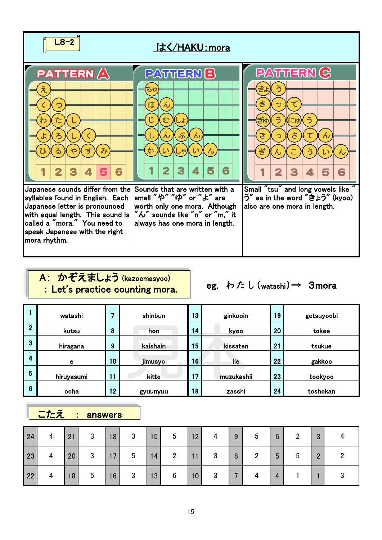

## A: かぞえましょう (kazoemasyoo) : Let's practice counting mora.

eg. わたし(watashi)→ 3mora

|                         | watashi    |                 | shinbun  | 13 | ginkooin    | 19 | getsuyoobi |
|-------------------------|------------|-----------------|----------|----|-------------|----|------------|
| $\overline{2}$          | kutsu      | 8               | hon      | 14 | <b>kyoo</b> | 20 | tokee      |
| $\overline{3}$          | hiragana   | 9               | kaishain | 15 | kissaten    | 21 | tsukue     |
| $\overline{\mathbf{4}}$ | е          | 10 <sub>1</sub> | jimusyo  | 16 | iie         | 22 | gakkoo     |
| 5                       | hiruyasumi |                 | kitte    | 17 | muzukashii  | 23 | tookyoo    |
| $6\phantom{1}6$         | ocha       | $\overline{2}$  | gyuunyuu | 18 | zasshi      | 24 | toshokan   |

## | こたえ : answers |

| 24 | 4              | 21              | $\mathbf{3}$    | 18 | $\mathbf{3}$    | 15 | $5\overline{)}$ | 12 | 4 | 9 | $5\phantom{.0}$ | $6\phantom{1}6$ | 2 | 3             |  |
|----|----------------|-----------------|-----------------|----|-----------------|----|-----------------|----|---|---|-----------------|-----------------|---|---------------|--|
| 23 | $\overline{4}$ | 20 <sup>1</sup> | $\mathbf{3}$    | 17 | $5\phantom{.0}$ | 14 | $\overline{2}$  | 11 | 3 | 8 | $\overline{2}$  | 5               | 5 | $\mathcal{P}$ |  |
| 22 | 4              | 18              | $5\overline{)}$ | 16 | $\mathbf{3}$    | 13 | $6\phantom{.}6$ | 10 | 3 |   |                 | 4               |   |               |  |